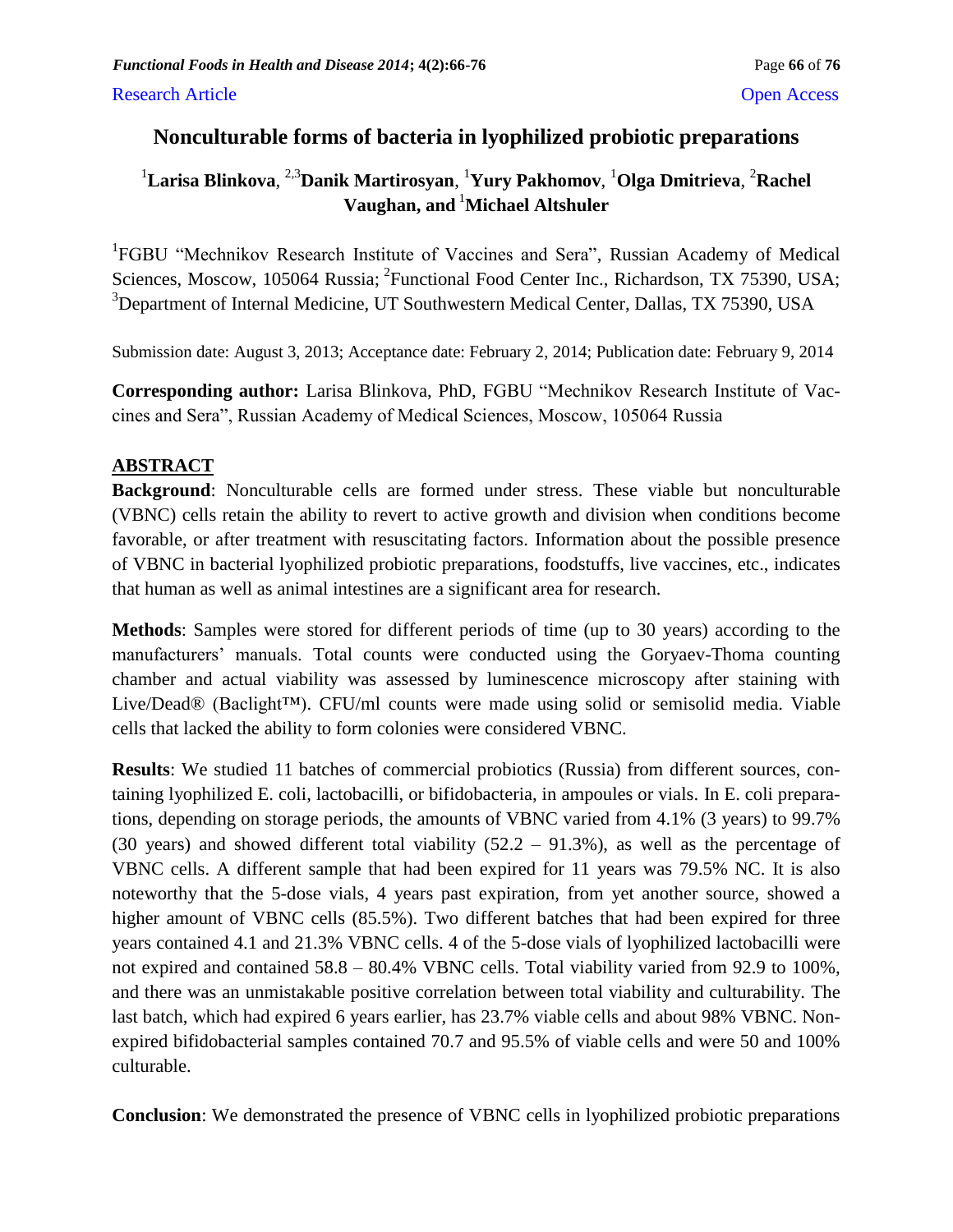# **Nonculturable forms of bacteria in lyophilized probiotic preparations**

# <sup>1</sup>Larisa Blinkova, <sup>2,3</sup>Danik Martirosyan, <sup>1</sup>Yury Pakhomov, <sup>1</sup>Olga Dmitrieva, <sup>2</sup>Rachel **Vaughan, and** <sup>1</sup>**Michael Altshuler**

<sup>1</sup>FGBU "Mechnikov Research Institute of Vaccines and Sera", Russian Academy of Medical Sciences, Moscow, 105064 Russia; <sup>2</sup>Functional Food Center Inc., Richardson, TX 75390, USA; <sup>3</sup>Department of Internal Medicine, UT Southwestern Medical Center, Dallas, TX 75390, USA

Submission date: August 3, 2013; Acceptance date: February 2, 2014; Publication date: February 9, 2014

**Corresponding author:** Larisa Blinkova, PhD, FGBU "Mechnikov Research Institute of Vaccines and Sera", Russian Academy of Medical Sciences, Moscow, 105064 Russia

# **ABSTRACT**

**Background**: Nonculturable cells are formed under stress. These viable but nonculturable (VBNC) cells retain the ability to revert to active growth and division when conditions become favorable, or after treatment with resuscitating factors. Information about the possible presence of VBNC in bacterial lyophilized probiotic preparations, foodstuffs, live vaccines, etc., indicates that human as well as animal intestines are a significant area for research.

**Methods**: Samples were stored for different periods of time (up to 30 years) according to the manufacturers' manuals. Total counts were conducted using the Goryaev-Thoma counting chamber and actual viability was assessed by luminescence microscopy after staining with Live/Dead® (Baclight™). CFU/ml counts were made using solid or semisolid media. Viable cells that lacked the ability to form colonies were considered VBNC.

**Results**: We studied 11 batches of commercial probiotics (Russia) from different sources, containing lyophilized E. coli, lactobacilli, or bifidobacteria, in ampoules or vials. In E. coli preparations, depending on storage periods, the amounts of VBNC varied from 4.1% (3 years) to 99.7% (30 years) and showed different total viability  $(52.2 - 91.3\%)$ , as well as the percentage of VBNC cells. A different sample that had been expired for 11 years was 79.5% NC. It is also noteworthy that the 5-dose vials, 4 years past expiration, from yet another source, showed a higher amount of VBNC cells (85.5%). Two different batches that had been expired for three years contained 4.1 and 21.3% VBNC cells. 4 of the 5-dose vials of lyophilized lactobacilli were not expired and contained 58.8 – 80.4% VBNC cells. Total viability varied from 92.9 to 100%, and there was an unmistakable positive correlation between total viability and culturability. The last batch, which had expired 6 years earlier, has 23.7% viable cells and about 98% VBNC. Nonexpired bifidobacterial samples contained 70.7 and 95.5% of viable cells and were 50 and 100% culturable.

**Conclusion**: We demonstrated the presence of VBNC cells in lyophilized probiotic preparations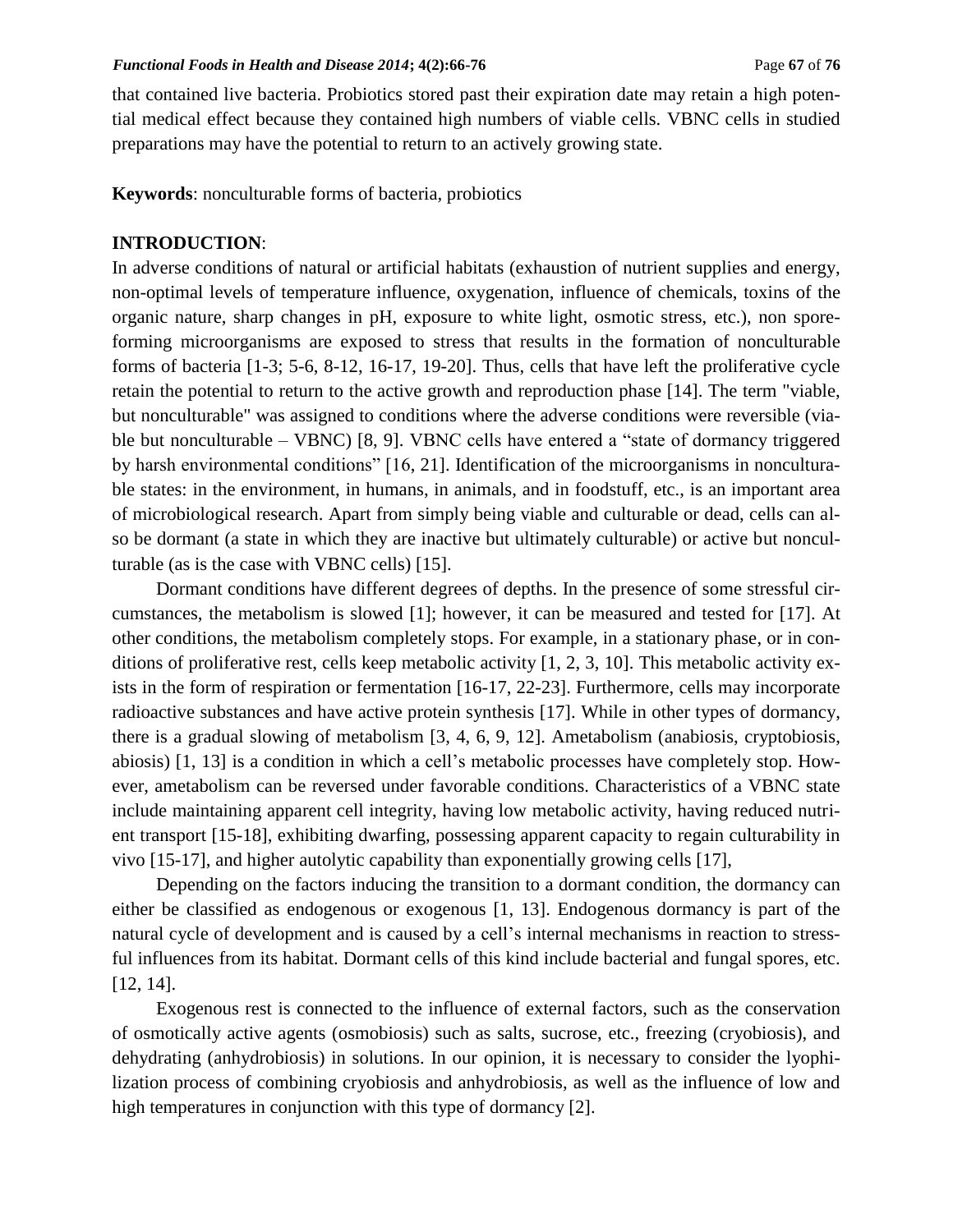that contained live bacteria. Probiotics stored past their expiration date may retain a high potential medical effect because they contained high numbers of viable cells. VBNC cells in studied preparations may have the potential to return to an actively growing state.

**Keywords**: nonculturable forms of bacteria, probiotics

### **INTRODUCTION**:

In adverse conditions of natural or artificial habitats (exhaustion of nutrient supplies and energy, non-optimal levels of temperature influence, oxygenation, influence of chemicals, toxins of the organic nature, sharp changes in pH, exposure to white light, osmotic stress, etc.), non sporeforming microorganisms are exposed to stress that results in the formation of nonculturable forms of bacteria [1-3; 5-6, 8-12, 16-17, 19-20]. Thus, cells that have left the proliferative cycle retain the potential to return to the active growth and reproduction phase [14]. The term "viable, but nonculturable" was assigned to conditions where the adverse conditions were reversible (viable but nonculturable – VBNC) [8, 9]. VBNC cells have entered a "state of dormancy triggered by harsh environmental conditions" [16, 21]. Identification of the microorganisms in nonculturable states: in the environment, in humans, in animals, and in foodstuff, etc., is an important area of microbiological research. Apart from simply being viable and culturable or dead, cells can also be dormant (a state in which they are inactive but ultimately culturable) or active but nonculturable (as is the case with VBNC cells) [15].

Dormant conditions have different degrees of depths. In the presence of some stressful circumstances, the metabolism is slowed [1]; however, it can be measured and tested for [17]. At other conditions, the metabolism completely stops. For example, in a stationary phase, or in conditions of proliferative rest, cells keep metabolic activity [1, 2, 3, 10]. This metabolic activity exists in the form of respiration or fermentation [16-17, 22-23]. Furthermore, cells may incorporate radioactive substances and have active protein synthesis [17]. While in other types of dormancy, there is a gradual slowing of metabolism [3, 4, 6, 9, 12]. Ametabolism (anabiosis, cryptobiosis, abiosis) [1, 13] is a condition in which a cell's metabolic processes have completely stop. However, ametabolism can be reversed under favorable conditions. Characteristics of a VBNC state include maintaining apparent cell integrity, having low metabolic activity, having reduced nutrient transport [15-18], exhibiting dwarfing, possessing apparent capacity to regain culturability in vivo [15-17], and higher autolytic capability than exponentially growing cells [17],

Depending on the factors inducing the transition to a dormant condition, the dormancy can either be classified as endogenous or exogenous [1, 13]. Endogenous dormancy is part of the natural cycle of development and is caused by a cell's internal mechanisms in reaction to stressful influences from its habitat. Dormant cells of this kind include bacterial and fungal spores, etc. [12, 14].

Exogenous rest is connected to the influence of external factors, such as the conservation of osmotically active agents (osmobiosis) such as salts, sucrose, etc., freezing (cryobiosis), and dehydrating (anhydrobiosis) in solutions. In our opinion, it is necessary to consider the lyophilization process of combining cryobiosis and anhydrobiosis, as well as the influence of low and high temperatures in conjunction with this type of dormancy [2].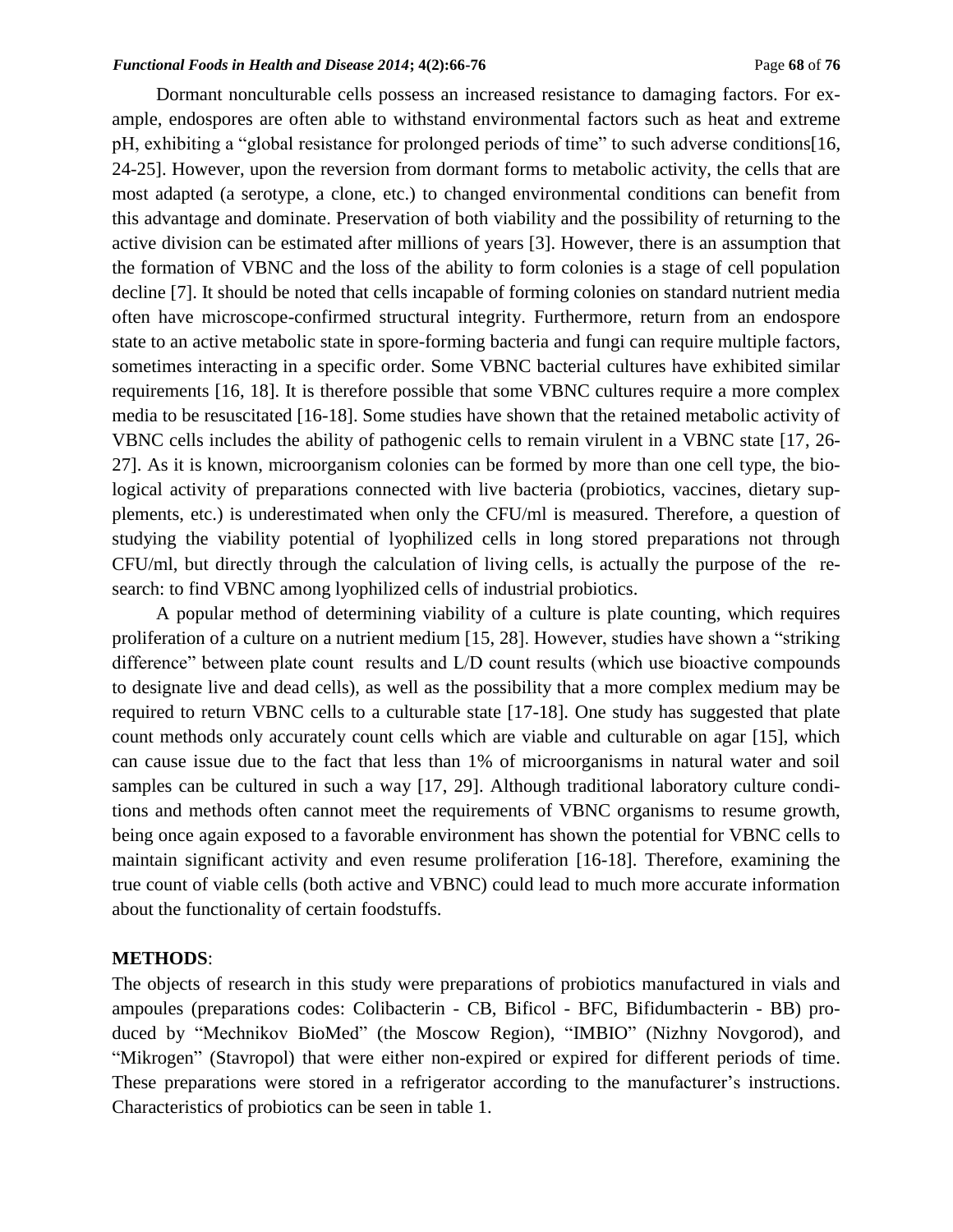#### *Functional Foods in Health and Disease 2014***; 4(2):66-76** Page **68** of **76**

Dormant nonculturable cells possess an increased resistance to damaging factors. For example, endospores are often able to withstand environmental factors such as heat and extreme pH, exhibiting a "global resistance for prolonged periods of time" to such adverse conditions[16, 24-25]. However, upon the reversion from dormant forms to metabolic activity, the cells that are most adapted (a serotype, a clone, etc.) to changed environmental conditions can benefit from this advantage and dominate. Preservation of both viability and the possibility of returning to the active division can be estimated after millions of years [3]. However, there is an assumption that the formation of VBNC and the loss of the ability to form colonies is a stage of cell population decline [7]. It should be noted that cells incapable of forming colonies on standard nutrient media often have microscope-confirmed structural integrity. Furthermore, return from an endospore state to an active metabolic state in spore-forming bacteria and fungi can require multiple factors, sometimes interacting in a specific order. Some VBNC bacterial cultures have exhibited similar requirements [16, 18]. It is therefore possible that some VBNC cultures require a more complex media to be resuscitated [16-18]. Some studies have shown that the retained metabolic activity of VBNC cells includes the ability of pathogenic cells to remain virulent in a VBNC state [17, 26- 27]. As it is known, microorganism colonies can be formed by more than one cell type, the biological activity of preparations connected with live bacteria (probiotics, vaccines, dietary supplements, etc.) is underestimated when only the CFU/ml is measured. Therefore, a question of studying the viability potential of lyophilized cells in long stored preparations not through CFU/ml, but directly through the calculation of living cells, is actually the purpose of the research: to find VBNC among lyophilized cells of industrial probiotics.

A popular method of determining viability of a culture is plate counting, which requires proliferation of a culture on a nutrient medium [15, 28]. However, studies have shown a "striking difference" between plate count results and L/D count results (which use bioactive compounds to designate live and dead cells), as well as the possibility that a more complex medium may be required to return VBNC cells to a culturable state [17-18]. One study has suggested that plate count methods only accurately count cells which are viable and culturable on agar [15], which can cause issue due to the fact that less than 1% of microorganisms in natural water and soil samples can be cultured in such a way [17, 29]. Although traditional laboratory culture conditions and methods often cannot meet the requirements of VBNC organisms to resume growth, being once again exposed to a favorable environment has shown the potential for VBNC cells to maintain significant activity and even resume proliferation [16-18]. Therefore, examining the true count of viable cells (both active and VBNC) could lead to much more accurate information about the functionality of certain foodstuffs.

### **METHODS**:

The objects of research in this study were preparations of probiotics manufactured in vials and ampoules (preparations codes: Colibacterin - CB, Bificol - BFC, Bifidumbacterin - BB) produced by "Mechnikov BioMed" (the Moscow Region), "IMBIO" (Nizhny Novgorod), and "Mikrogen" (Stavropol) that were either non-expired or expired for different periods of time. These preparations were stored in a refrigerator according to the manufacturer's instructions. Characteristics of probiotics can be seen in table 1.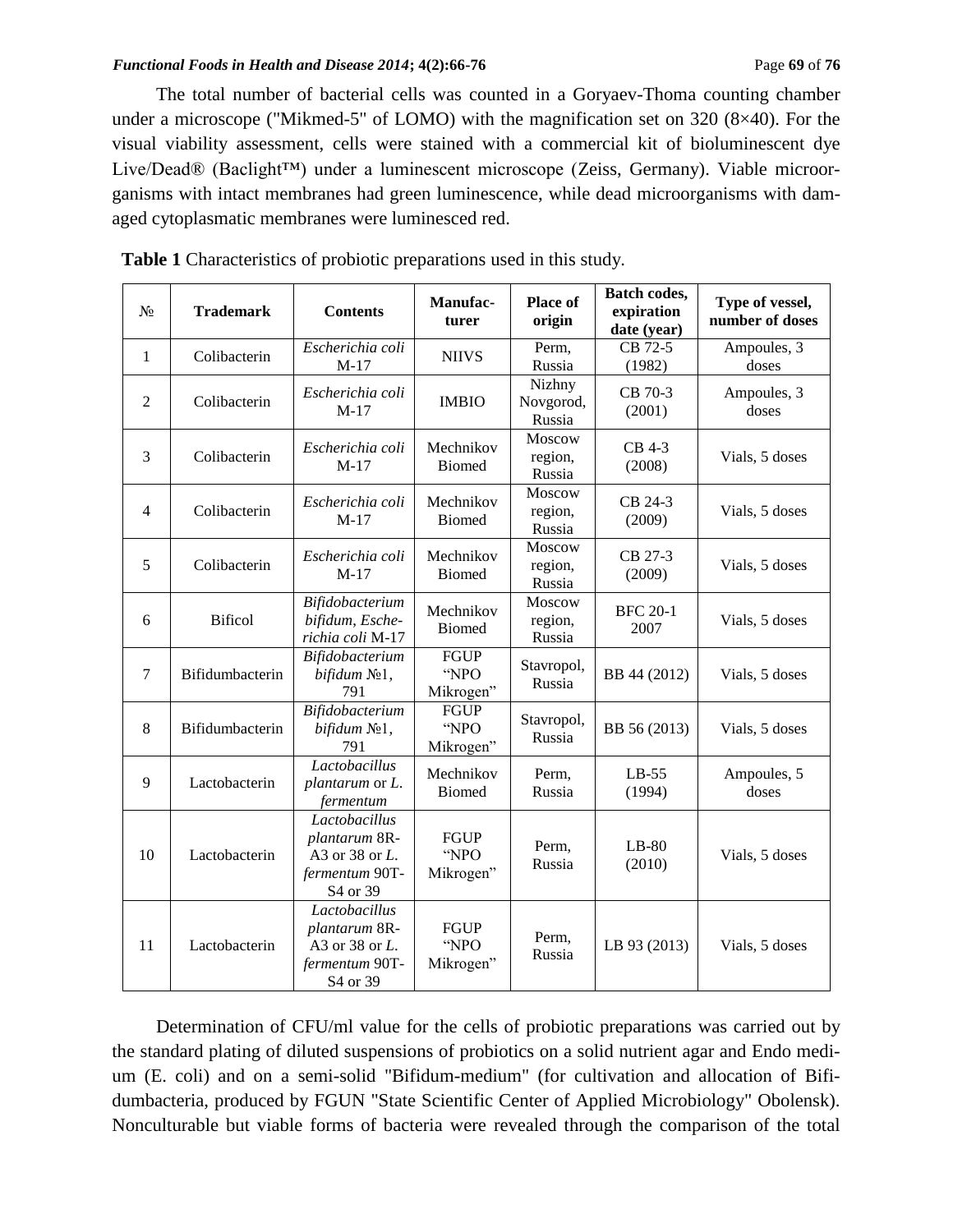#### *Functional Foods in Health and Disease 2014***; 4(2):66-76 Page 69** of **76 Page 69** of **76**

The total number of bacterial cells was counted in a Goryaev-Thoma counting chamber under a microscope ("Mikmed-5" of LOMO) with the magnification set on 320 (8×40). For the visual viability assessment, cells were stained with a commercial kit of bioluminescent dye Live/Dead® (Baclight™) under a luminescent microscope (Zeiss, Germany). Viable microorganisms with intact membranes had green luminescence, while dead microorganisms with damaged cytoplasmatic membranes were luminesced red.

| $N_2$          | <b>Trademark</b> | <b>Contents</b>                                                                | Manufac-<br>turer                | <b>Place of</b><br>origin     | Batch codes,<br>expiration<br>date (year) | Type of vessel,<br>number of doses |
|----------------|------------------|--------------------------------------------------------------------------------|----------------------------------|-------------------------------|-------------------------------------------|------------------------------------|
| 1              | Colibacterin     | Escherichia coli<br>$M-17$                                                     | <b>NIIVS</b>                     | Perm,<br>Russia               | CB 72-5<br>(1982)                         | Ampoules, 3<br>doses               |
| $\overline{2}$ | Colibacterin     | Escherichia coli<br>$M-17$                                                     | <b>IMBIO</b>                     | Nizhny<br>Novgorod,<br>Russia | CB 70-3<br>(2001)                         | Ampoules, 3<br>doses               |
| 3              | Colibacterin     | Escherichia coli<br>$M-17$                                                     | Mechnikov<br><b>Biomed</b>       | Moscow<br>region,<br>Russia   | CB 4-3<br>(2008)                          | Vials, 5 doses                     |
| $\overline{4}$ | Colibacterin     | Escherichia coli<br>$M-17$                                                     | Mechnikov<br><b>Biomed</b>       | Moscow<br>region,<br>Russia   | CB 24-3<br>(2009)                         | Vials, 5 doses                     |
| 5              | Colibacterin     | Escherichia coli<br>$M-17$                                                     | Mechnikov<br><b>Biomed</b>       | Moscow<br>region,<br>Russia   | CB 27-3<br>(2009)                         | Vials, 5 doses                     |
| 6              | <b>Bificol</b>   | Bifidobacterium<br>bifidum, Esche-<br>richia coli M-17                         | Mechnikov<br><b>Biomed</b>       | Moscow<br>region,<br>Russia   | <b>BFC 20-1</b><br>2007                   | Vials, 5 doses                     |
| $\tau$         | Bifidumbacterin  | Bifidobacterium<br><i>bifidum</i> №1,<br>791                                   | <b>FGUP</b><br>"NPO<br>Mikrogen" | Stavropol,<br>Russia          | BB 44 (2012)                              | Vials, 5 doses                     |
| 8              | Bifidumbacterin  | Bifidobacterium<br>bifidum No1,<br>791                                         | <b>FGUP</b><br>"NPO<br>Mikrogen" | Stavropol,<br>Russia          | BB 56 (2013)                              | Vials, 5 doses                     |
| 9              | Lactobacterin    | Lactobacillus<br>plantarum or L.<br>fermentum                                  | Mechnikov<br><b>Biomed</b>       | Perm,<br>Russia               | $LB-55$<br>(1994)                         | Ampoules, 5<br>doses               |
| 10             | Lactobacterin    | Lactobacillus<br>plantarum 8R-<br>A3 or 38 or L.<br>fermentum 90T-<br>S4 or 39 | <b>FGUP</b><br>"NPO<br>Mikrogen" | Perm,<br>Russia               | $LB-80$<br>(2010)                         | Vials, 5 doses                     |
| 11             | Lactobacterin    | Lactobacillus<br>plantarum 8R-<br>A3 or 38 or L.<br>fermentum 90T-<br>S4 or 39 | <b>FGUP</b><br>"NPO<br>Mikrogen" | Perm,<br>Russia               | LB 93 (2013)                              | Vials, 5 doses                     |

Determination of CFU/ml value for the cells of probiotic preparations was carried out by the standard plating of diluted suspensions of probiotics on a solid nutrient agar and Endo medium (E. coli) and on a semi-solid "Bifidum-medium" (for cultivation and allocation of Bifidumbacteria, produced by FGUN "State Scientific Center of Applied Microbiology" Obolensk). Nonculturable but viable forms of bacteria were revealed through the comparison of the total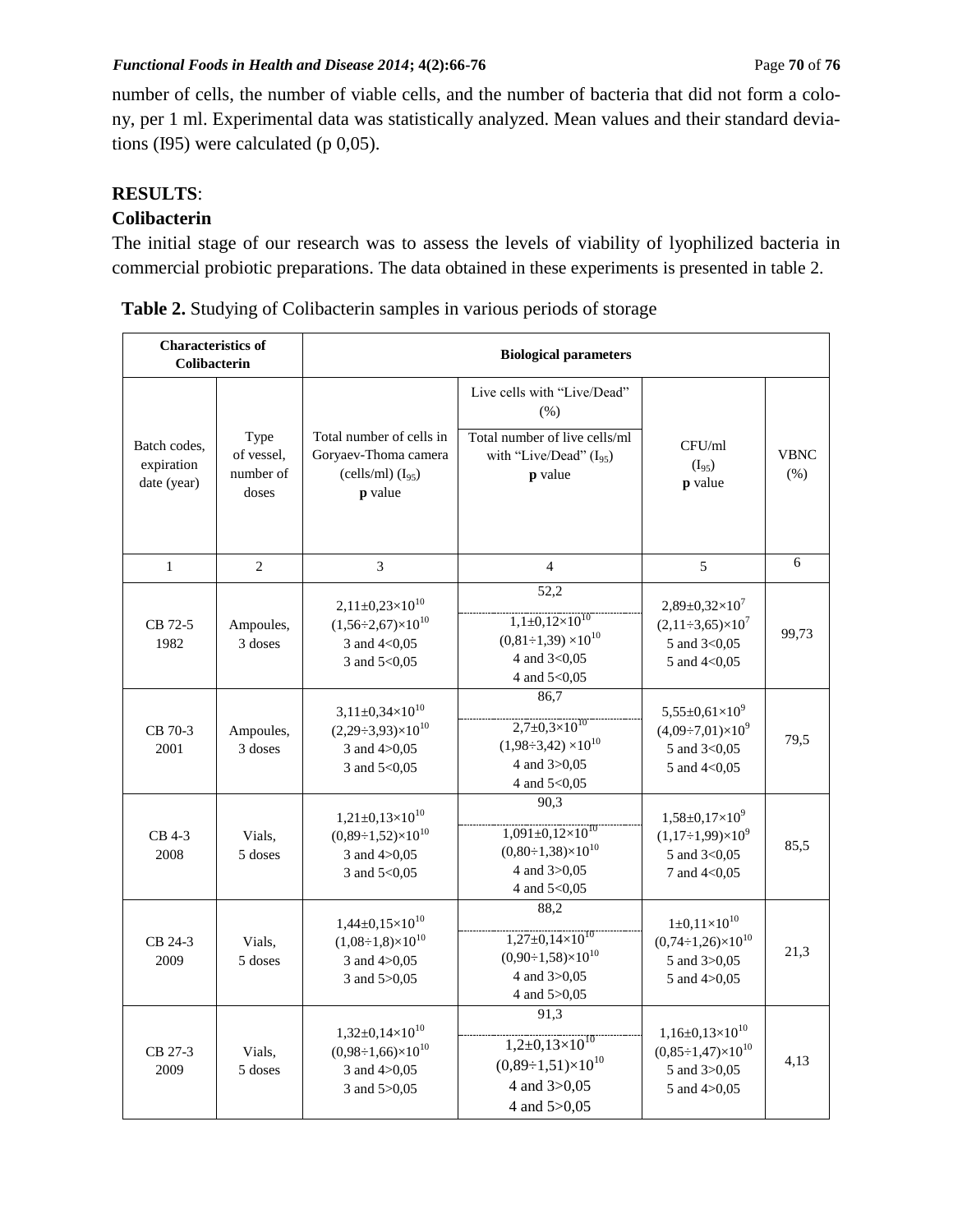number of cells, the number of viable cells, and the number of bacteria that did not form a colony, per 1 ml. Experimental data was statistically analyzed. Mean values and their standard deviations (I95) were calculated (p 0,05).

# **RESULTS**:

### **Colibacterin**

The initial stage of our research was to assess the levels of viability of lyophilized bacteria in commercial probiotic preparations. The data obtained in these experiments is presented in table 2.

| <b>Characteristics of</b><br><b>Colibacterin</b> |                                          | <b>Biological parameters</b>                                                                          |                                                                                                                        |                                                                                                     |                    |  |  |
|--------------------------------------------------|------------------------------------------|-------------------------------------------------------------------------------------------------------|------------------------------------------------------------------------------------------------------------------------|-----------------------------------------------------------------------------------------------------|--------------------|--|--|
| Batch codes.<br>expiration<br>date (year)        | Type<br>of vessel,<br>number of<br>doses | Total number of cells in<br>Goryaev-Thoma camera<br>(cells/ml) $(I_{95})$<br>p value                  | Live cells with "Live/Dead"<br>(% )<br>Total number of live cells/ml<br>with "Live/Dead" (I <sub>95</sub> )<br>p value | CFU/ml<br>$(I_{95})$<br>p value                                                                     | <b>VBNC</b><br>(%) |  |  |
| $\mathbf{1}$                                     | $\overline{2}$                           | $\mathfrak{Z}$                                                                                        | $\overline{4}$                                                                                                         | $\mathfrak s$                                                                                       | 6                  |  |  |
| CB 72-5<br>1982                                  | Ampoules,<br>3 doses                     | $2,11\pm0,23\times10^{10}$<br>$(1,56\div 2,67)\times 10^{10}$<br>3 and 4<0,05<br>3 and 5<0,05         | 52,2<br>$1,1\pm0,12\times10^{10}$<br>$(0,81\div 1,39) \times 10^{10}$<br>4 and 3<0,05<br>4 and 5<0,05                  | $2,89 \pm 0,32 \times 10^7$<br>$(2,11\div 3,65)\times 10^7$<br>5 and 3<0,05<br>5 and 4<0,05         | 99,73              |  |  |
| CB 70-3<br>2001                                  | Ampoules,<br>3 doses                     | $3,11\pm0,34\times10^{10}$<br>$(2,29\div 3,93)\times 10^{10}$<br>3 and $4 > 0.05$<br>3 and 5<0,05     | 86,7<br>$2,7\pm0,3\times10^{10}$<br>$(1,98\div 3,42)\times 10^{10}$<br>4 and 3>0,05<br>4 and 5<0,05                    | $5,55\pm0,61\times10^{9}$<br>$(4,09 \div 7,01) \times 10^9$<br>5 and 3<0,05<br>5 and 4<0,05         | 79,5               |  |  |
| CB 4-3<br>2008                                   | Vials,<br>5 doses                        | $1,21\pm0,13\times10^{10}$<br>$(0,89\div 1,52)\times 10^{10}$<br>3 and $4 > 0.05$<br>3 and $5 < 0.05$ | 90.3<br>$1,091\pm0,12\times10^{10}$<br>$(0.80 \div 1.38) \times 10^{10}$<br>4 and 3>0,05<br>4 and 5<0,05               | $1,58\pm0,17\times10^{9}$<br>$(1,17\div 1,99)\times 10^9$<br>5 and 3<0,05<br>7 and 4<0,05           | 85.5               |  |  |
| CB 24-3<br>2009                                  | Vials.<br>5 doses                        | $1,44\pm0,15\times10^{10}$<br>$(1,08\div 1,8)\times 10^{10}$<br>3 and 4>0,05<br>3 and 5>0,05          | 88,2<br>$1,27\pm0,14\times10^{10}$<br>$(0,90\div 1,58)\times 10^{10}$<br>4 and 3>0,05<br>4 and 5>0,05                  | $1\pm0,11\times10^{10}$<br>$(0,74\div 1,26)\times 10^{10}$<br>5 and 3>0,05<br>5 and $4 > 0.05$      | 21,3               |  |  |
| CB 27-3<br>2009                                  | Vials.<br>5 doses                        | $1,32\pm0,14\times10^{10}$<br>$(0.98 \div 1.66) \times 10^{10}$<br>3 and 4>0,05<br>3 and $5 > 0.05$   | 91,3<br>$1,2\pm0,13\times10^{10}$<br>$(0,89\div 1,51)\times 10^{10}$<br>4 and 3>0,05<br>4 and 5>0,05                   | $1,16\pm0,13\times10^{10}$<br>$(0.85 \div 1.47) \times 10^{10}$<br>5 and 3>0,05<br>5 and $4 > 0.05$ | 4,13               |  |  |

 **Table 2.** Studying of Colibacterin samples in various periods of storage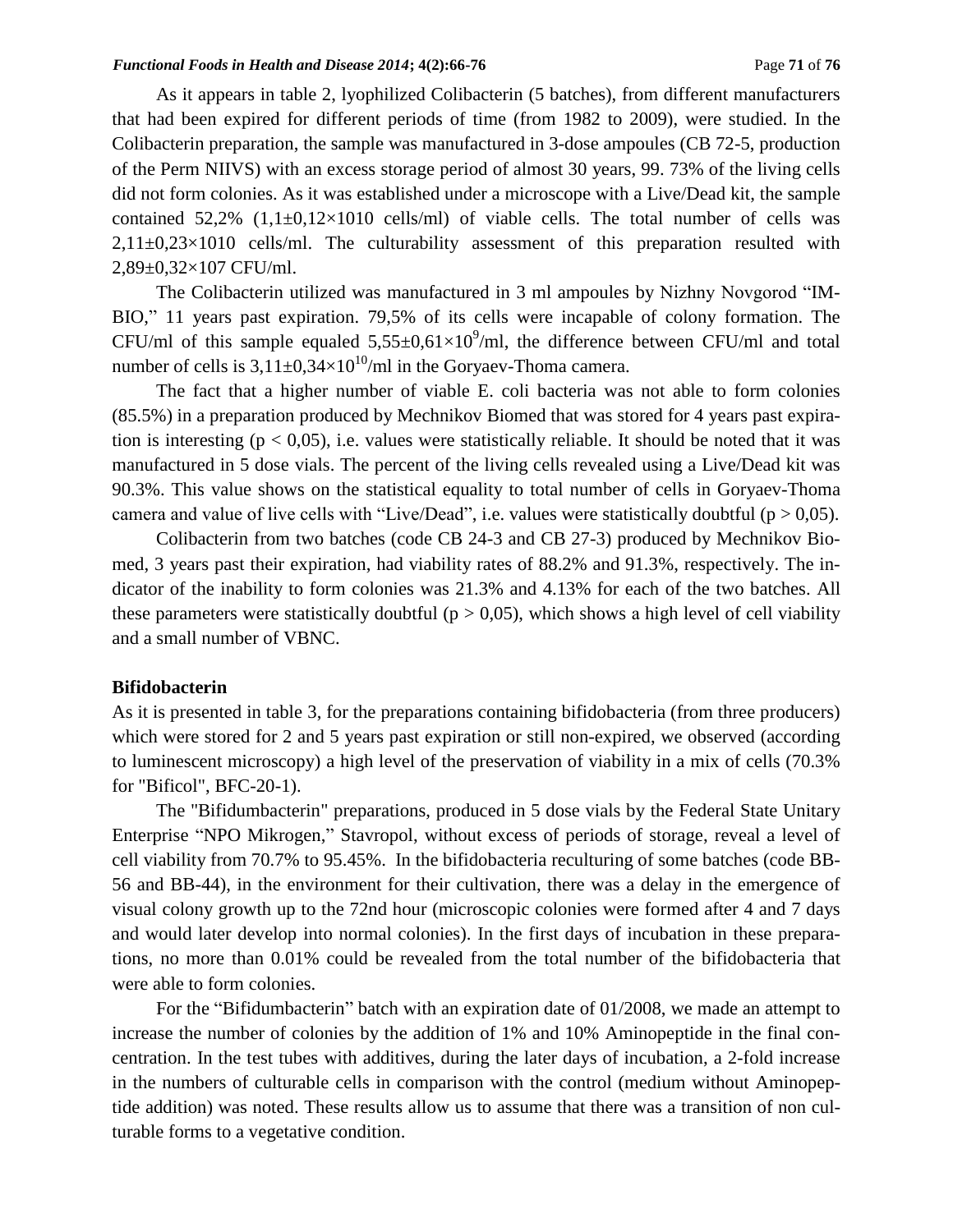As it appears in table 2, lyophilized Colibacterin (5 batches), from different manufacturers that had been expired for different periods of time (from 1982 to 2009), were studied. In the Colibacterin preparation, the sample was manufactured in 3-dose ampoules (CB 72-5, production of the Perm NIIVS) with an excess storage period of almost 30 years, 99. 73% of the living cells did not form colonies. As it was established under a microscope with a Live/Dead kit, the sample contained  $52.2\%$   $(1.1\pm0.12\times1010$  cells/ml) of viable cells. The total number of cells was  $2.11\pm0.23\times1010$  cells/ml. The culturability assessment of this preparation resulted with 2,89±0,32×107 CFU/ml.

The Colibacterin utilized was manufactured in 3 ml ampoules by Nizhny Novgorod "IM-BIO," 11 years past expiration. 79,5% of its cells were incapable of colony formation. The CFU/ml of this sample equaled  $5,55\pm0,61\times10^9$ /ml, the difference between CFU/ml and total number of cells is  $3,11\pm0,34\times10^{10}/\text{ml}$  in the Goryaev-Thoma camera.

The fact that a higher number of viable E. coli bacteria was not able to form colonies (85.5%) in a preparation produced by Mechnikov Biomed that was stored for 4 years past expiration is interesting ( $p < 0.05$ ), i.e. values were statistically reliable. It should be noted that it was manufactured in 5 dose vials. The percent of the living cells revealed using a Live/Dead kit was 90.3%. This value shows on the statistical equality to total number of cells in Goryaev-Thoma camera and value of live cells with "Live/Dead", i.e. values were statistically doubtful ( $p > 0.05$ ).

Colibacterin from two batches (code CB 24-3 and CB 27-3) produced by Mechnikov Biomed, 3 years past their expiration, had viability rates of 88.2% and 91.3%, respectively. The indicator of the inability to form colonies was 21.3% and 4.13% for each of the two batches. All these parameters were statistically doubtful ( $p > 0.05$ ), which shows a high level of cell viability and a small number of VBNC.

### **Bifidobacterin**

As it is presented in table 3, for the preparations containing bifidobacteria (from three producers) which were stored for 2 and 5 years past expiration or still non-expired, we observed (according to luminescent microscopy) a high level of the preservation of viability in a mix of cells (70.3% for "Bificol", BFC-20-1).

The "Bifidumbacterin" preparations, produced in 5 dose vials by the Federal State Unitary Enterprise "NPO Mikrogen," Stavropol, without excess of periods of storage, reveal a level of cell viability from 70.7% to 95.45%. In the bifidobacteria reculturing of some batches (code BB-56 and BB-44), in the environment for their cultivation, there was a delay in the emergence of visual colony growth up to the 72nd hour (microscopic colonies were formed after 4 and 7 days and would later develop into normal colonies). In the first days of incubation in these preparations, no more than 0.01% could be revealed from the total number of the bifidobacteria that were able to form colonies.

For the "Bifidumbacterin" batch with an expiration date of 01/2008, we made an attempt to increase the number of colonies by the addition of 1% and 10% Aminopeptide in the final concentration. In the test tubes with additives, during the later days of incubation, a 2-fold increase in the numbers of culturable cells in comparison with the control (medium without Aminopeptide addition) was noted. These results allow us to assume that there was a transition of non culturable forms to a vegetative condition.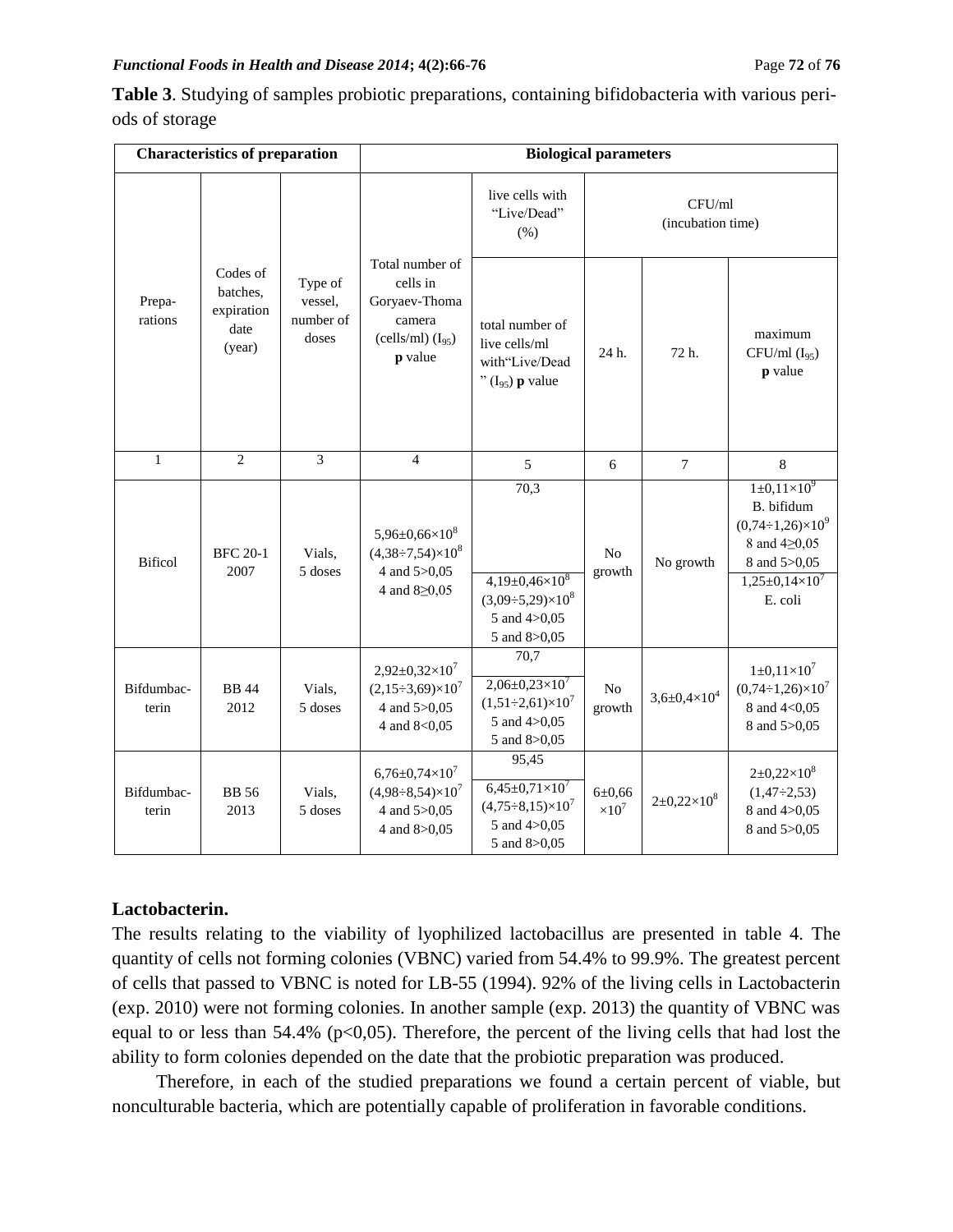**Table 3**. Studying of samples probiotic preparations, containing bifidobacteria with various periods of storage

|                     | <b>Characteristics of preparation</b>                |                                          | <b>Biological parameters</b>                                                                    |                                                                                                    |                               |                             |                                                                                                                                                  |  |
|---------------------|------------------------------------------------------|------------------------------------------|-------------------------------------------------------------------------------------------------|----------------------------------------------------------------------------------------------------|-------------------------------|-----------------------------|--------------------------------------------------------------------------------------------------------------------------------------------------|--|
|                     |                                                      |                                          |                                                                                                 | live cells with<br>"Live/Dead"<br>(% )                                                             |                               | CFU/ml<br>(incubation time) |                                                                                                                                                  |  |
| Prepa-<br>rations   | Codes of<br>batches.<br>expiration<br>date<br>(year) | Type of<br>vessel,<br>number of<br>doses | Total number of<br>cells in<br>Goryaev-Thoma<br>camera<br>(cells/ml) $(I_{95})$<br>p value      | total number of<br>live cells/ml<br>with"Live/Dead<br>" $(I_{95})$ p value                         | 24 h.                         | 72 h.                       | maximum<br>$CFU/ml (I_{95})$<br>p value                                                                                                          |  |
| $\mathbf{1}$        | $\overline{c}$                                       | $\overline{3}$                           | $\overline{4}$                                                                                  | 5                                                                                                  | 6                             | $\overline{7}$              | $\,8\,$                                                                                                                                          |  |
| <b>Bificol</b>      | <b>BFC 20-1</b><br>2007                              | Vials,<br>5 doses                        | $5,96 \pm 0,66 \times 10^8$<br>$(4,38\div7,54)\times10^8$<br>4 and 5>0,05<br>4 and $8 \ge 0.05$ | 70,3<br>$4,19\pm0,46\times10^8$<br>$(3,09 \div 5,29) \times 10^8$<br>5 and 4>0,05<br>5 and 8>0,05  | No<br>growth                  | No growth                   | $1\pm 0.11\times10^{9}$<br>B. bifidum<br>$(0,74\div 1,26)\times 10^{9}$<br>8 and 4 20,05<br>8 and 5>0,05<br>$1,25\pm0,14\times10^{7}$<br>E. coli |  |
| Bifdumbac-<br>terin | <b>BB</b> 44<br>2012                                 | Vials,<br>5 doses                        | $2,92\pm0,32\times10^7$<br>$(2,15\div 3,69)\times 10^7$<br>4 and 5>0,05<br>4 and 8<0,05 $\,$    | 70,7<br>$2,06\pm0,23\times10^7$<br>$(1,51\div 2,61)\times 10^7$<br>5 and 4>0,05<br>5 and 8>0,05    | No<br>growth                  | $3,6 \pm 0,4 \times 10^4$   | $1 \pm 0.11 \times 10^7$<br>$(0,74 \div 1,26) \times 10^7$<br>8 and 4<0,05<br>8 and 5>0,05                                                       |  |
| Bifdumbac-<br>terin | <b>BB</b> 56<br>2013                                 | Vials,<br>5 doses                        | $6,76 \pm 0,74 \times 10^7$<br>$(4,98\div 8,54)\times 10^7$<br>4 and 5>0,05<br>4 and 8>0,05     | 95,45<br>$6,45\pm0,71\times10^{7}$<br>$(4,75\div 8,15)\times 10^7$<br>5 and 4>0,05<br>5 and 8>0,05 | $6 \pm 0,66$<br>$\times 10^7$ | $2 \pm 0,22 \times 10^8$    | $2\pm 0.22\times 10^8$<br>$(1,47\div 2,53)$<br>8 and 4>0,05<br>8 and 5>0,05                                                                      |  |

## **Lactobacterin.**

The results relating to the viability of lyophilized lactobacillus are presented in table 4. The quantity of cells not forming colonies (VBNC) varied from 54.4% to 99.9%. The greatest percent of cells that passed to VBNC is noted for LB-55 (1994). 92% of the living cells in Lactobacterin (exp. 2010) were not forming colonies. In another sample (exp. 2013) the quantity of VBNC was equal to or less than  $54.4\%$  (p<0,05). Therefore, the percent of the living cells that had lost the ability to form colonies depended on the date that the probiotic preparation was produced.

Therefore, in each of the studied preparations we found a certain percent of viable, but nonculturable bacteria, which are potentially capable of proliferation in favorable conditions.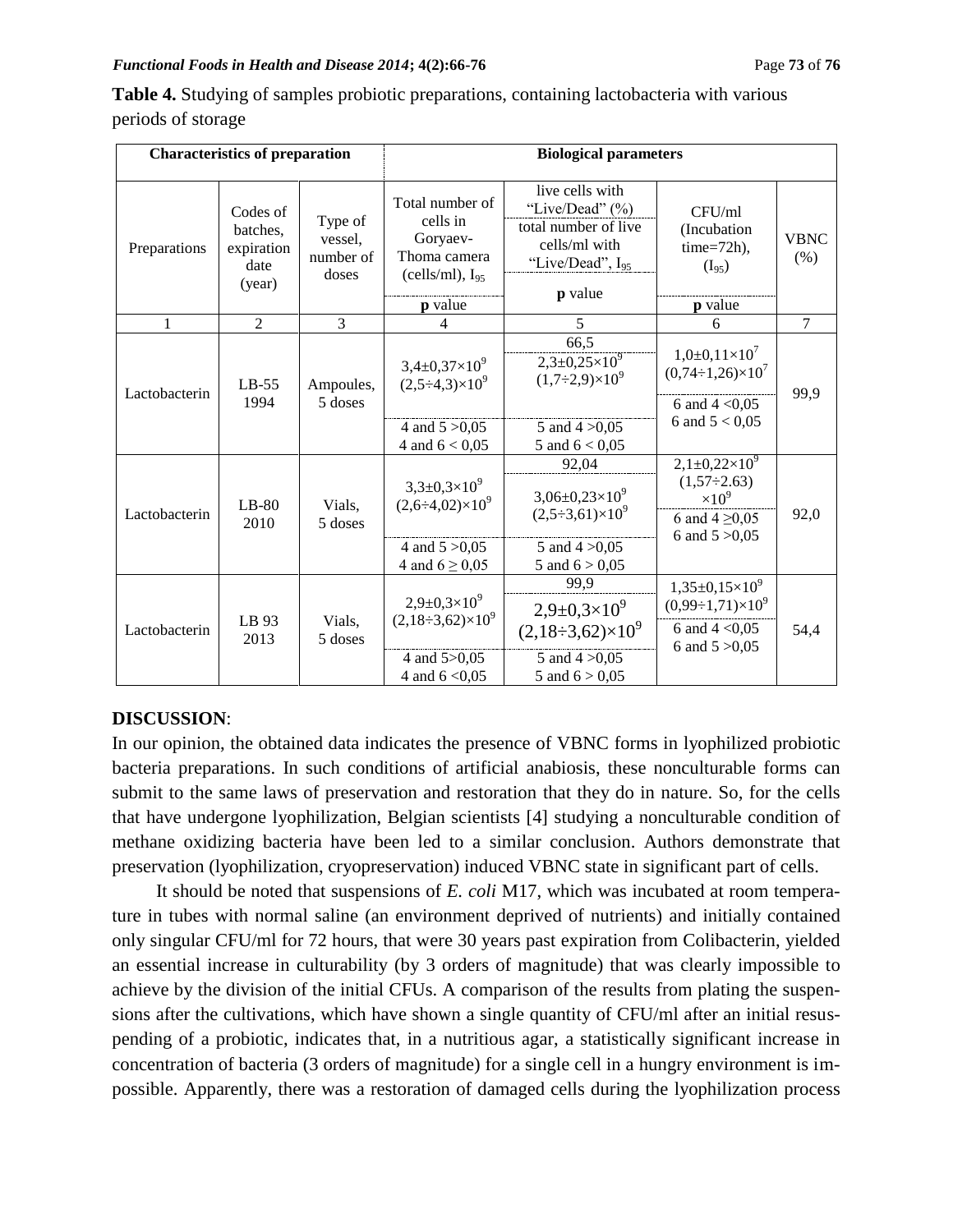#### *Functional Foods in Health and Disease 2014***; 4(2):66-76** Page **73** of **76**

| <b>Characteristics of preparation</b> |                                                      |                                          | <b>Biological parameters</b>                                                                         |                                                                                                                        |                                                                                                   |                     |  |
|---------------------------------------|------------------------------------------------------|------------------------------------------|------------------------------------------------------------------------------------------------------|------------------------------------------------------------------------------------------------------------------------|---------------------------------------------------------------------------------------------------|---------------------|--|
| Preparations                          | Codes of<br>batches,<br>expiration<br>date<br>(year) | Type of<br>vessel,<br>number of<br>doses | Total number of<br>cells in<br>Goryaev-<br>Thoma camera<br>$(cells/ml)$ , $I_{95}$<br><b>p</b> value | live cells with<br>"Live/Dead" (%)<br>total number of live<br>cells/ml with<br>"Live/Dead", I <sub>95</sub><br>p value | CFU/ml<br>(Incubation)<br>$time=72h$ ),<br>$(I_{95})$<br><b>p</b> value                           | <b>VBNC</b><br>(% ) |  |
| 1                                     | $\overline{2}$                                       | 3                                        | 4                                                                                                    | 5                                                                                                                      | 6                                                                                                 | $\overline{7}$      |  |
| Lactobacterin                         | $LB-55$<br>1994                                      | Ampoules,<br>5 doses                     | $3,4\pm0,37\times10^{9}$<br>$(2,5\div 4,3)\times 10^{9}$                                             | 66,5<br>$2,3+0,25\times10^{9}$<br>$(1,7\div 2,9)\times 10^{9}$                                                         | $1,0+0,11\times10^7$<br>$(0,74\div 1,26)\times 10^7$<br>6 and $4 < 0.05$                          | 99,9                |  |
|                                       |                                                      |                                          | 4 and $5 > 0.05$<br>4 and $6 < 0.05$                                                                 | 5 and $4 > 0.05$<br>5 and $6 < 0.05$                                                                                   | 6 and $5 < 0.05$                                                                                  |                     |  |
| Lactobacterin                         | $LB-80$<br>2010                                      | Vials,<br>5 doses                        | $3,3\pm0,3\times10^{9}$<br>$(2,6\div 4,02)\times 10^{9}$                                             | 92,04<br>$3,06\pm0,23\times10^9$<br>$(2,5\div 3,61)\times 10^{9}$                                                      | $2,1\pm0,22\times10^9$<br>$(1,57\div 2.63)$<br>$\times 10^{9}$<br>6 and $4 \ge 0.05$              | 92,0                |  |
|                                       |                                                      |                                          | 4 and $5 > 0.05$<br>4 and $6 \ge 0.05$                                                               | 5 and $4 > 0.05$<br>5 and $6 > 0.05$                                                                                   | 6 and $5 > 0.05$                                                                                  |                     |  |
| Lactobacterin                         | LB 93<br>2013                                        | Vials,<br>5 doses                        | $2,9+0,3\times10^{9}$<br>$(2,18\div 3,62)\times 10^9$                                                | 99.9<br>$2,9\pm0,3\times10^9$<br>$(2,18\div 3,62)\times 10^9$                                                          | $1,35\pm0,15\times10^{9}$<br>$(0,99\div 1,71)\times 10^9$<br>6 and $4 < 0.05$<br>6 and $5 > 0.05$ | 54,4                |  |
|                                       |                                                      |                                          | 4 and 5>0,05<br>4 and $6 < 0.05$                                                                     | 5 and $4 > 0.05$<br>5 and $6 > 0,05$                                                                                   |                                                                                                   |                     |  |

**Table 4.** Studying of samples probiotic preparations, containing lactobacteria with various periods of storage

## **DISCUSSION**:

In our opinion, the obtained data indicates the presence of VBNC forms in lyophilized probiotic bacteria preparations. In such conditions of artificial anabiosis, these nonculturable forms can submit to the same laws of preservation and restoration that they do in nature. So, for the cells that have undergone lyophilization, Belgian scientists [4] studying a nonculturable condition of methane oxidizing bacteria have been led to a similar conclusion. Authors demonstrate that preservation (lyophilization, cryopreservation) induced VBNC state in significant part of cells.

It should be noted that suspensions of *E. coli* M17, which was incubated at room temperature in tubes with normal saline (an environment deprived of nutrients) and initially contained only singular CFU/ml for 72 hours, that were 30 years past expiration from Colibacterin, yielded an essential increase in culturability (by 3 orders of magnitude) that was clearly impossible to achieve by the division of the initial CFUs. A comparison of the results from plating the suspensions after the cultivations, which have shown a single quantity of CFU/ml after an initial resuspending of a probiotic, indicates that, in a nutritious agar, a statistically significant increase in concentration of bacteria (3 orders of magnitude) for a single cell in a hungry environment is impossible. Apparently, there was a restoration of damaged cells during the lyophilization process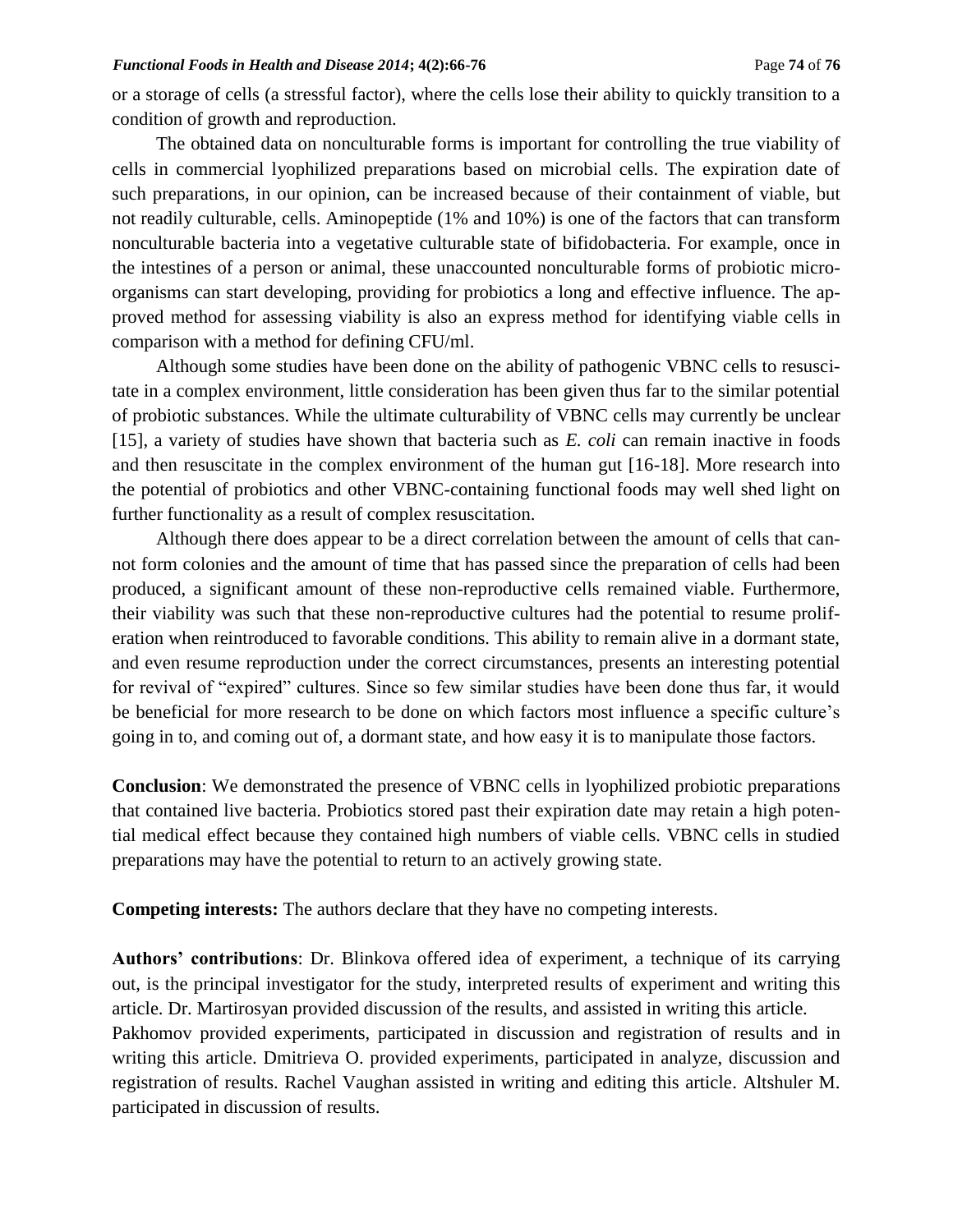or a storage of cells (a stressful factor), where the cells lose their ability to quickly transition to a condition of growth and reproduction.

The obtained data on nonculturable forms is important for controlling the true viability of cells in commercial lyophilized preparations based on microbial cells. The expiration date of such preparations, in our opinion, can be increased because of their containment of viable, but not readily culturable, cells. Aminopeptide (1% and 10%) is one of the factors that can transform nonculturable bacteria into a vegetative culturable state of bifidobacteria. For example, once in the intestines of a person or animal, these unaccounted nonculturable forms of probiotic microorganisms can start developing, providing for probiotics a long and effective influence. The approved method for assessing viability is also an express method for identifying viable cells in comparison with a method for defining CFU/ml.

Although some studies have been done on the ability of pathogenic VBNC cells to resuscitate in a complex environment, little consideration has been given thus far to the similar potential of probiotic substances. While the ultimate culturability of VBNC cells may currently be unclear [15], a variety of studies have shown that bacteria such as *E. coli* can remain inactive in foods and then resuscitate in the complex environment of the human gut [16-18]. More research into the potential of probiotics and other VBNC-containing functional foods may well shed light on further functionality as a result of complex resuscitation.

Although there does appear to be a direct correlation between the amount of cells that cannot form colonies and the amount of time that has passed since the preparation of cells had been produced, a significant amount of these non-reproductive cells remained viable. Furthermore, their viability was such that these non-reproductive cultures had the potential to resume proliferation when reintroduced to favorable conditions. This ability to remain alive in a dormant state, and even resume reproduction under the correct circumstances, presents an interesting potential for revival of "expired" cultures. Since so few similar studies have been done thus far, it would be beneficial for more research to be done on which factors most influence a specific culture's going in to, and coming out of, a dormant state, and how easy it is to manipulate those factors.

**Conclusion**: We demonstrated the presence of VBNC cells in lyophilized probiotic preparations that contained live bacteria. Probiotics stored past their expiration date may retain a high potential medical effect because they contained high numbers of viable cells. VBNC cells in studied preparations may have the potential to return to an actively growing state.

**Competing interests:** The authors declare that they have no competing interests.

**Authors' contributions**: Dr. Blinkova offered idea of experiment, a technique of its carrying out, is the principal investigator for the study, interpreted results of experiment and writing this article. Dr. Martirosyan provided discussion of the results, and assisted in writing this article. Pakhomov provided experiments, participated in discussion and registration of results and in writing this article. Dmitrieva O. provided experiments, participated in analyze, discussion and registration of results. Rachel Vaughan assisted in writing and editing this article. Altshuler M. participated in discussion of results.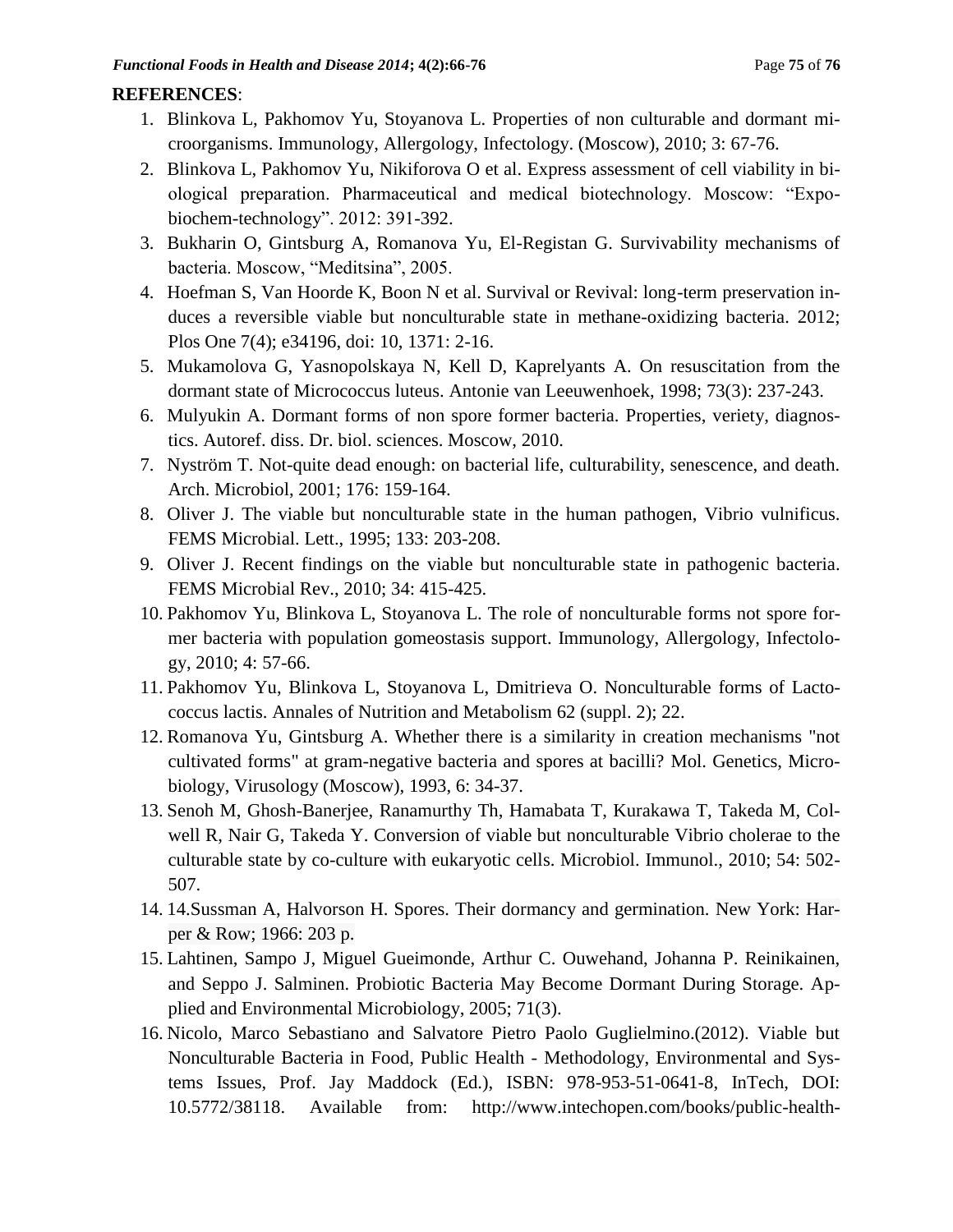## **REFERENCES**:

- 1. Blinkova L, Pakhomov Yu, Stoyanova L. Properties of non culturable and dormant microorganisms. Immunology, Allergology, Infectology. (Moscow), 2010; 3: 67-76.
- 2. Blinkova L, Pakhomov Yu, Nikiforova O et al. Express assessment of cell viability in biological preparation. Pharmaceutical and medical biotechnology. Moscow: "Expobiochem-technology". 2012: 391-392.
- 3. Bukharin O, Gintsburg A, Romanova Yu, El-Registan G. Survivability mechanisms of bacteria. Moscow, "Meditsina", 2005.
- 4. Hoefman S, Van Hoorde K, Boon N et al. Survival or Revival: long-term preservation induces a reversible viable but nonculturable state in methane-oxidizing bacteria. 2012; Plos One 7(4); e34196, doi: 10, 1371: 2-16.
- 5. Mukamolova G, Yasnopolskaya N, Kell D, Kaprelyants A. On resuscitation from the dormant state of Micrococcus luteus. Antonie van Leeuwenhoek, 1998; 73(3): 237-243.
- 6. Mulyukin A. Dormant forms of non spore former bacteria. Properties, veriety, diagnostics. Autoref. diss. Dr. biol. sciences. Moscow, 2010.
- 7. Nyström T. Not-quite dead enough: on bacterial life, culturability, senescence, and death. Arch. Microbiol, 2001; 176: 159-164.
- 8. Oliver J. The viable but nonculturable state in the human pathogen, Vibrio vulnificus. FEMS Microbial. Lett., 1995; 133: 203-208.
- 9. Oliver J. Recent findings on the viable but nonculturable state in pathogenic bacteria. FEMS Microbial Rev., 2010; 34: 415-425.
- 10. Pakhomov Yu, Blinkova L, Stoyanova L. The role of nonculturable forms not spore former bacteria with population gomeostasis support. Immunology, Allergology, Infectology, 2010; 4: 57-66.
- 11. Pakhomov Yu, Blinkova L, Stoyanova L, Dmitrieva O. Nonculturable forms of Lactococcus lactis. Annales of Nutrition and Metabolism 62 (suppl. 2); 22.
- 12. Romanova Yu, Gintsburg A. Whether there is a similarity in creation mechanisms "not cultivated forms" at gram-negative bacteria and spores at bacilli? Mol. Genetics, Microbiology, Virusology (Moscow), 1993, 6: 34-37.
- 13. Senoh M, Ghosh-Banerjee, Ranamurthy Th, Hamabata T, Kurakawa T, Takeda M, Colwell R, Nair G, Takeda Y. Conversion of viable but nonculturable Vibrio cholerae to the culturable state by co-culture with eukaryotic cells. Microbiol. Immunol., 2010; 54: 502- 507.
- 14. 14.Sussman A, Halvorson H. Spores. Their dormancy and germination. New York: Harper & Row; 1966: 203 p.
- 15. Lahtinen, Sampo J, Miguel Gueimonde, Arthur C. Ouwehand, Johanna P. Reinikainen, and Seppo J. Salminen. Probiotic Bacteria May Become Dormant During Storage. Applied and Environmental Microbiology, 2005; 71(3).
- 16. Nicolo, Marco Sebastiano and Salvatore Pietro Paolo Guglielmino.(2012). Viable but Nonculturable Bacteria in Food, Public Health - Methodology, Environmental and Systems Issues, Prof. Jay Maddock (Ed.), ISBN: 978-953-51-0641-8, InTech, DOI: 10.5772/38118. Available from: http://www.intechopen.com/books/public-health-